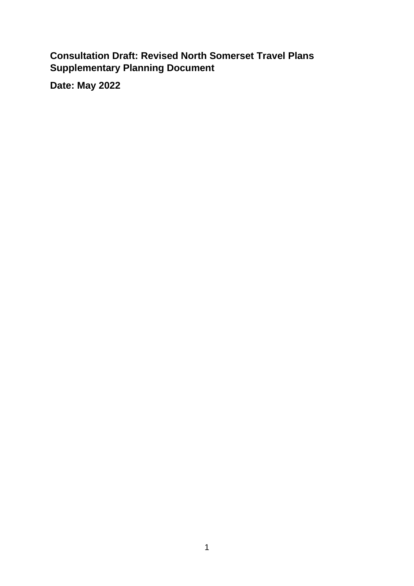**Consultation Draft: Revised North Somerset Travel Plans Supplementary Planning Document**

**Date: May 2022**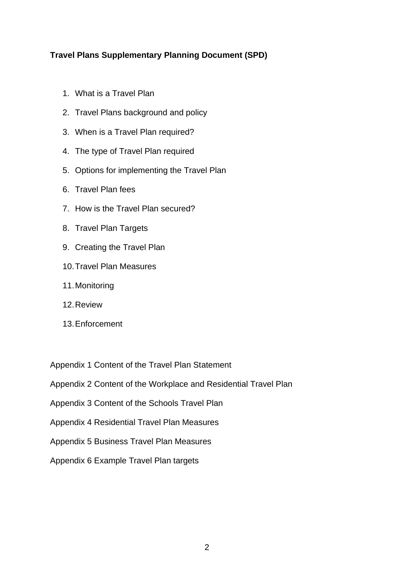# **Travel Plans Supplementary Planning Document (SPD)**

- 1. What is a Travel Plan
- 2. Travel Plans background and policy
- 3. When is a Travel Plan required?
- 4. The type of Travel Plan required
- 5. Options for implementing the Travel Plan
- 6. Travel Plan fees
- 7. How is the Travel Plan secured?
- 8. Travel Plan Targets
- 9. Creating the Travel Plan
- 10.Travel Plan Measures
- 11.Monitoring
- 12.Review
- 13.Enforcement

Appendix 1 Content of the Travel Plan Statement

Appendix 2 Content of the Workplace and Residential Travel Plan

- Appendix 3 Content of the Schools Travel Plan
- Appendix 4 Residential Travel Plan Measures
- Appendix 5 Business Travel Plan Measures
- Appendix 6 Example Travel Plan targets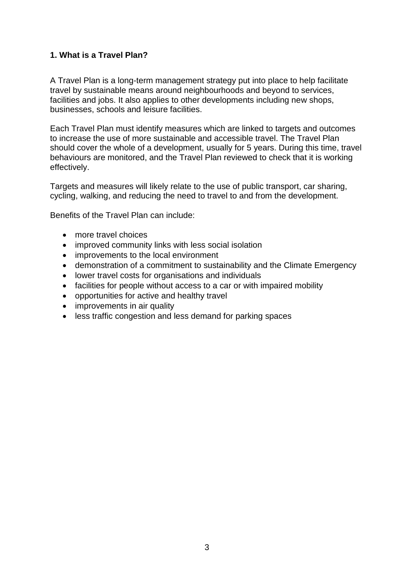# **1. What is a Travel Plan?**

A Travel Plan is a long-term management strategy put into place to help facilitate travel by sustainable means around neighbourhoods and beyond to services, facilities and jobs. It also applies to other developments including new shops, businesses, schools and leisure facilities.

Each Travel Plan must identify measures which are linked to targets and outcomes to increase the use of more sustainable and accessible travel. The Travel Plan should cover the whole of a development, usually for 5 years. During this time, travel behaviours are monitored, and the Travel Plan reviewed to check that it is working effectively.

Targets and measures will likely relate to the use of public transport, car sharing, cycling, walking, and reducing the need to travel to and from the development.

Benefits of the Travel Plan can include:

- more travel choices
- improved community links with less social isolation
- improvements to the local environment
- demonstration of a commitment to sustainability and the Climate Emergency
- lower travel costs for organisations and individuals
- facilities for people without access to a car or with impaired mobility
- opportunities for active and healthy travel
- improvements in air quality
- less traffic congestion and less demand for parking spaces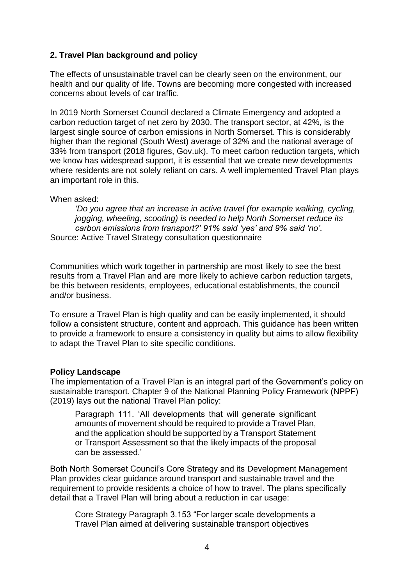# **2. Travel Plan background and policy**

The effects of unsustainable travel can be clearly seen on the environment, our health and our quality of life. Towns are becoming more congested with increased concerns about levels of car traffic.

In 2019 North Somerset Council declared a Climate Emergency and adopted a carbon reduction target of net zero by 2030. The transport sector, at 42%, is the largest single source of carbon emissions in North Somerset. This is considerably higher than the regional (South West) average of 32% and the national average of 33% from transport (2018 figures, Gov.uk). To meet carbon reduction targets, which we know has widespread support, it is essential that we create new developments where residents are not solely reliant on cars. A well implemented Travel Plan plays an important role in this.

## When asked:

*'Do you agree that an increase in active travel (for example walking, cycling, jogging, wheeling, scooting) is needed to help North Somerset reduce its carbon emissions from transport?' 91% said 'yes' and 9% said 'no'.* Source: Active Travel Strategy consultation questionnaire

Communities which work together in partnership are most likely to see the best results from a Travel Plan and are more likely to achieve carbon reduction targets, be this between residents, employees, educational establishments, the council and/or business.

To ensure a Travel Plan is high quality and can be easily implemented, it should follow a consistent structure, content and approach. This guidance has been written to provide a framework to ensure a consistency in quality but aims to allow flexibility to adapt the Travel Plan to site specific conditions.

## **Policy Landscape**

The implementation of a Travel Plan is an integral part of the Government's policy on sustainable transport. Chapter 9 of the National Planning Policy Framework (NPPF) (2019) lays out the national Travel Plan policy:

Paragraph 111. 'All developments that will generate significant amounts of movement should be required to provide a Travel Plan, and the application should be supported by a Transport Statement or Transport Assessment so that the likely impacts of the proposal can be assessed.'

Both North Somerset Council's Core Strategy and its Development Management Plan provides clear guidance around transport and sustainable travel and the requirement to provide residents a choice of how to travel. The plans specifically detail that a Travel Plan will bring about a reduction in car usage:

Core Strategy Paragraph 3.153 "For larger scale developments a Travel Plan aimed at delivering sustainable transport objectives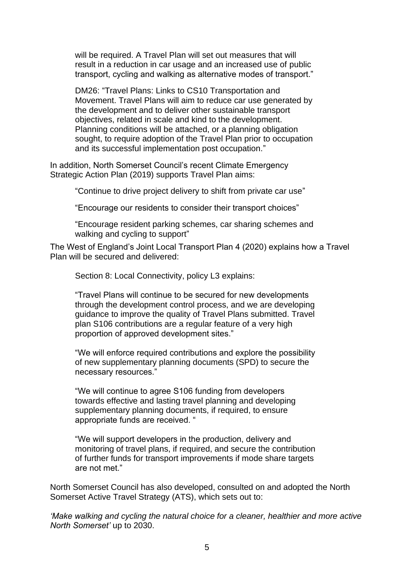will be required. A Travel Plan will set out measures that will result in a reduction in car usage and an increased use of public transport, cycling and walking as alternative modes of transport."

DM26: "Travel Plans: Links to CS10 Transportation and Movement. Travel Plans will aim to reduce car use generated by the development and to deliver other sustainable transport objectives, related in scale and kind to the development. Planning conditions will be attached, or a planning obligation sought, to require adoption of the Travel Plan prior to occupation and its successful implementation post occupation."

In addition, North Somerset Council's recent Climate Emergency Strategic Action Plan (2019) supports Travel Plan aims:

"Continue to drive project delivery to shift from private car use"

"Encourage our residents to consider their transport choices"

"Encourage resident parking schemes, car sharing schemes and walking and cycling to support"

The West of England's Joint Local Transport Plan 4 (2020) explains how a Travel Plan will be secured and delivered:

Section 8: Local Connectivity, policy L3 explains:

"Travel Plans will continue to be secured for new developments through the development control process, and we are developing guidance to improve the quality of Travel Plans submitted. Travel plan S106 contributions are a regular feature of a very high proportion of approved development sites."

"We will enforce required contributions and explore the possibility of new supplementary planning documents (SPD) to secure the necessary resources."

"We will continue to agree S106 funding from developers towards effective and lasting travel planning and developing supplementary planning documents, if required, to ensure appropriate funds are received. "

"We will support developers in the production, delivery and monitoring of travel plans, if required, and secure the contribution of further funds for transport improvements if mode share targets are not met."

North Somerset Council has also developed, consulted on and adopted the North Somerset Active Travel Strategy (ATS), which sets out to:

*'Make walking and cycling the natural choice for a cleaner, healthier and more active North Somerset'* up to 2030.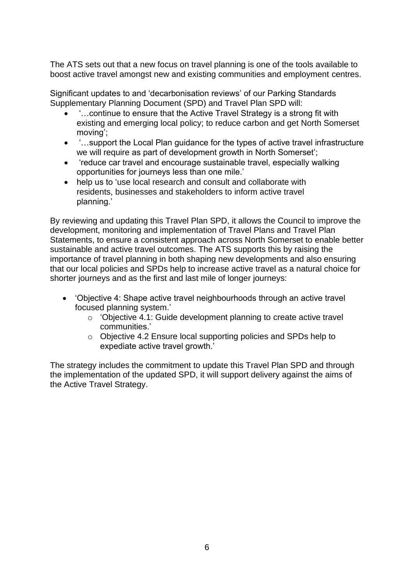The ATS sets out that a new focus on travel planning is one of the tools available to boost active travel amongst new and existing communities and employment centres.

Significant updates to and 'decarbonisation reviews' of our Parking Standards Supplementary Planning Document (SPD) and Travel Plan SPD will:

- '…continue to ensure that the Active Travel Strategy is a strong fit with existing and emerging local policy; to reduce carbon and get North Somerset moving';
- '…support the Local Plan guidance for the types of active travel infrastructure we will require as part of development growth in North Somerset';
- 'reduce car travel and encourage sustainable travel, especially walking opportunities for journeys less than one mile.'
- help us to 'use local research and consult and collaborate with residents, businesses and stakeholders to inform active travel planning.'

By reviewing and updating this Travel Plan SPD, it allows the Council to improve the development, monitoring and implementation of Travel Plans and Travel Plan Statements, to ensure a consistent approach across North Somerset to enable better sustainable and active travel outcomes. The ATS supports this by raising the importance of travel planning in both shaping new developments and also ensuring that our local policies and SPDs help to increase active travel as a natural choice for shorter journeys and as the first and last mile of longer journeys:

- 'Objective 4: Shape active travel neighbourhoods through an active travel focused planning system.'
	- o 'Objective 4.1: Guide development planning to create active travel communities.'
	- o Objective 4.2 Ensure local supporting policies and SPDs help to expediate active travel growth.'

The strategy includes the commitment to update this Travel Plan SPD and through the implementation of the updated SPD, it will support delivery against the aims of the Active Travel Strategy.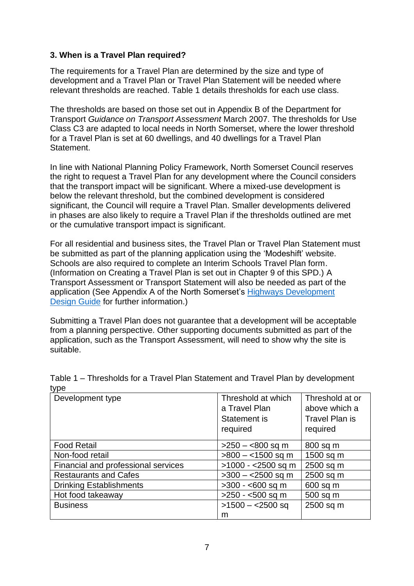## **3. When is a Travel Plan required?**

The requirements for a Travel Plan are determined by the size and type of development and a Travel Plan or Travel Plan Statement will be needed where relevant thresholds are reached. Table 1 details thresholds for each use class.

The thresholds are based on those set out in Appendix B of the Department for Transport *Guidance on Transport Assessment* March 2007. The thresholds for Use Class C3 are adapted to local needs in North Somerset, where the lower threshold for a Travel Plan is set at 60 dwellings, and 40 dwellings for a Travel Plan Statement.

In line with National Planning Policy Framework, North Somerset Council reserves the right to request a Travel Plan for any development where the Council considers that the transport impact will be significant. Where a mixed-use development is below the relevant threshold, but the combined development is considered significant, the Council will require a Travel Plan. Smaller developments delivered in phases are also likely to require a Travel Plan if the thresholds outlined are met or the cumulative transport impact is significant.

For all residential and business sites, the Travel Plan or Travel Plan Statement must be submitted as part of the planning application using the 'Modeshift' website. Schools are also required to complete an Interim Schools Travel Plan form. (Information on Creating a Travel Plan is set out in Chapter 9 of this SPD.) A Transport Assessment or Transport Statement will also be needed as part of the application (See Appendix A of the North Somerset's [Highways Development](https://www.n-somerset.gov.uk/sites/default/files/2020-11/29892%20highways%20development%20design%20guide%20ACC.pdf)  [Design Guide](https://www.n-somerset.gov.uk/sites/default/files/2020-11/29892%20highways%20development%20design%20guide%20ACC.pdf) for further information.)

Submitting a Travel Plan does not guarantee that a development will be acceptable from a planning perspective. Other supporting documents submitted as part of the application, such as the Transport Assessment, will need to show why the site is suitable.

| ιγμσ                                |                     |                       |
|-------------------------------------|---------------------|-----------------------|
| Development type                    | Threshold at which  | Threshold at or       |
|                                     | a Travel Plan       | above which a         |
|                                     | Statement is        | <b>Travel Plan is</b> |
|                                     | required            | required              |
| <b>Food Retail</b>                  | $>250 - 800$ sq m   | 800 sq m              |
| Non-food retail                     | $>800 - 1500$ sq m  | 1500 sq m             |
| Financial and professional services | $>1000 - 2500$ sq m | 2500 sq m             |
| <b>Restaurants and Cafes</b>        | $>300 - 2500$ sq m  | 2500 sq m             |
| <b>Drinking Establishments</b>      | $>300 - 600$ sq m   | 600 sq m              |
| Hot food takeaway                   | $>250 - 500$ sq m   | 500 sq m              |
| <b>Business</b>                     | $>1500 - 2500$ sq   | 2500 sq m             |
|                                     | m                   |                       |

Table 1 – Thresholds for a Travel Plan Statement and Travel Plan by development  $t_{1}$ me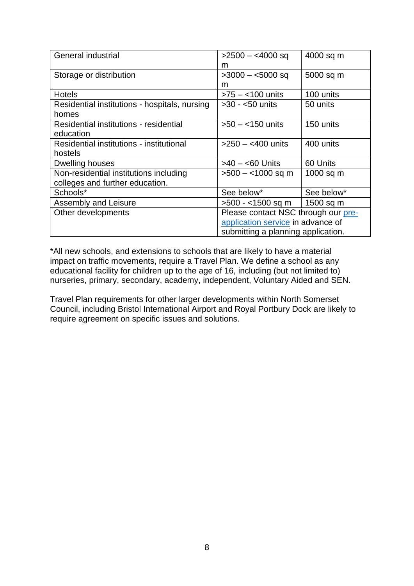| General industrial                            | $>$ 2500 $-$ <4000 sq               | 4000 sq m   |
|-----------------------------------------------|-------------------------------------|-------------|
|                                               | m                                   |             |
| Storage or distribution                       | $>3000 - 5000$ sq                   | 5000 sq m   |
|                                               | m                                   |             |
| <b>Hotels</b>                                 | $>75 - 100$ units                   | 100 units   |
| Residential institutions - hospitals, nursing | $>30 - 50$ units                    | 50 units    |
| homes                                         |                                     |             |
| Residential institutions - residential        | $>50 - 150$ units                   | 150 units   |
| education                                     |                                     |             |
| Residential institutions - institutional      | $>250 - 400$ units                  | 400 units   |
| hostels                                       |                                     |             |
| Dwelling houses                               | >40 – <60 Units                     | 60 Units    |
| Non-residential institutions including        | $>500 - 1000$ sq m                  | $1000$ sq m |
| colleges and further education.               |                                     |             |
| Schools*                                      | See below*                          | See below*  |
| Assembly and Leisure                          | >500 - <1500 sq m                   | 1500 sq m   |
| Other developments                            | Please contact NSC through our pre- |             |
|                                               | application service in advance of   |             |
|                                               | submitting a planning application.  |             |

\*All new schools, and extensions to schools that are likely to have a material impact on traffic movements, require a Travel Plan. We define a school as any educational facility for children up to the age of 16, including (but not limited to) nurseries, primary, secondary, academy, independent, Voluntary Aided and SEN.

Travel Plan requirements for other larger developments within North Somerset Council, including Bristol International Airport and Royal Portbury Dock are likely to require agreement on specific issues and solutions.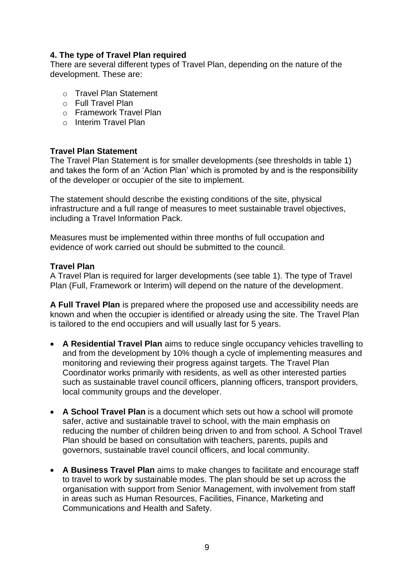# **4. The type of Travel Plan required**

There are several different types of Travel Plan, depending on the nature of the development. These are:

- o Travel Plan Statement
- o Full Travel Plan
- o Framework Travel Plan
- o Interim Travel Plan

## **Travel Plan Statement**

The Travel Plan Statement is for smaller developments (see thresholds in table 1) and takes the form of an 'Action Plan' which is promoted by and is the responsibility of the developer or occupier of the site to implement.

The statement should describe the existing conditions of the site, physical infrastructure and a full range of measures to meet sustainable travel objectives, including a Travel Information Pack.

Measures must be implemented within three months of full occupation and evidence of work carried out should be submitted to the council.

#### **Travel Plan**

A Travel Plan is required for larger developments (see table 1). The type of Travel Plan (Full, Framework or Interim) will depend on the nature of the development.

**A Full Travel Plan** is prepared where the proposed use and accessibility needs are known and when the occupier is identified or already using the site. The Travel Plan is tailored to the end occupiers and will usually last for 5 years.

- **A Residential Travel Plan** aims to reduce single occupancy vehicles travelling to and from the development by 10% though a cycle of implementing measures and monitoring and reviewing their progress against targets. The Travel Plan Coordinator works primarily with residents, as well as other interested parties such as sustainable travel council officers, planning officers, transport providers, local community groups and the developer.
- **A School Travel Plan** is a document which sets out how a school will promote safer, active and sustainable travel to school, with the main emphasis on reducing the number of children being driven to and from school. A School Travel Plan should be based on consultation with teachers, parents, pupils and governors, sustainable travel council officers, and local community.
- **A Business Travel Plan** aims to make changes to facilitate and encourage staff to travel to work by sustainable modes. The plan should be set up across the organisation with support from Senior Management, with involvement from staff in areas such as Human Resources, Facilities, Finance, Marketing and Communications and Health and Safety.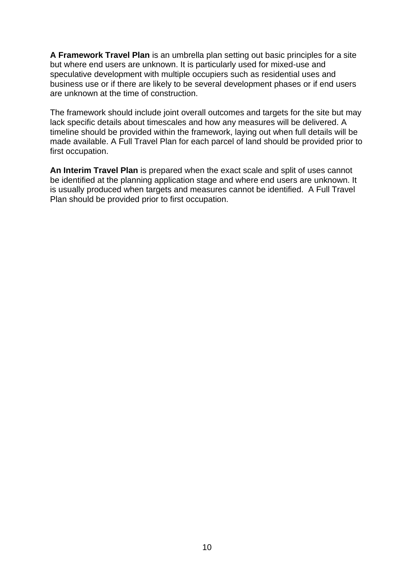**A Framework Travel Plan** is an umbrella plan setting out basic principles for a site but where end users are unknown. It is particularly used for mixed-use and speculative development with multiple occupiers such as residential uses and business use or if there are likely to be several development phases or if end users are unknown at the time of construction.

The framework should include joint overall outcomes and targets for the site but may lack specific details about timescales and how any measures will be delivered. A timeline should be provided within the framework, laying out when full details will be made available. A Full Travel Plan for each parcel of land should be provided prior to first occupation.

**An Interim Travel Plan** is prepared when the exact scale and split of uses cannot be identified at the planning application stage and where end users are unknown. It is usually produced when targets and measures cannot be identified. A Full Travel Plan should be provided prior to first occupation.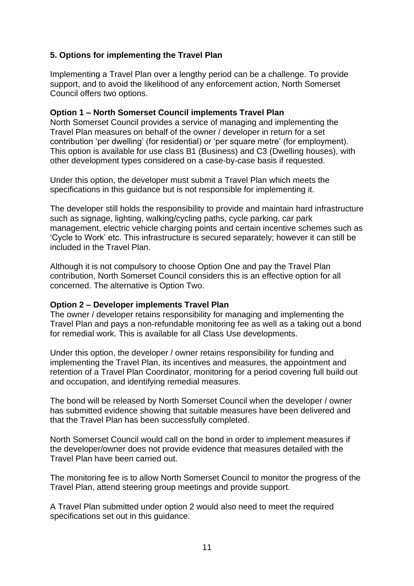# **5. Options for implementing the Travel Plan**

Implementing a Travel Plan over a lengthy period can be a challenge. To provide support, and to avoid the likelihood of any enforcement action, North Somerset Council offers two options.

## **Option 1 – North Somerset Council implements Travel Plan**

North Somerset Council provides a service of managing and implementing the Travel Plan measures on behalf of the owner / developer in return for a set contribution 'per dwelling' (for residential) or 'per square metre' (for employment). This option is available for use class B1 (Business) and C3 (Dwelling houses), with other development types considered on a case-by-case basis if requested.

Under this option, the developer must submit a Travel Plan which meets the specifications in this guidance but is not responsible for implementing it.

The developer still holds the responsibility to provide and maintain hard infrastructure such as signage, lighting, walking/cycling paths, cycle parking, car park management, electric vehicle charging points and certain incentive schemes such as 'Cycle to Work' etc. This infrastructure is secured separately; however it can still be included in the Travel Plan.

Although it is not compulsory to choose Option One and pay the Travel Plan contribution, North Somerset Council considers this is an effective option for all concerned. The alternative is Option Two.

## **Option 2 – Developer implements Travel Plan**

The owner / developer retains responsibility for managing and implementing the Travel Plan and pays a non-refundable monitoring fee as well as a taking out a bond for remedial work. This is available for all Class Use developments.

Under this option, the developer / owner retains responsibility for funding and implementing the Travel Plan, its incentives and measures, the appointment and retention of a Travel Plan Coordinator, monitoring for a period covering full build out and occupation, and identifying remedial measures.

The bond will be released by North Somerset Council when the developer / owner has submitted evidence showing that suitable measures have been delivered and that the Travel Plan has been successfully completed.

North Somerset Council would call on the bond in order to implement measures if the developer/owner does not provide evidence that measures detailed with the Travel Plan have been carried out.

The monitoring fee is to allow North Somerset Council to monitor the progress of the Travel Plan, attend steering group meetings and provide support.

A Travel Plan submitted under option 2 would also need to meet the required specifications set out in this guidance.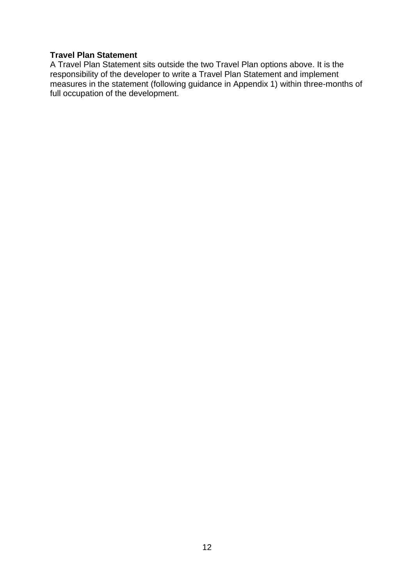# **Travel Plan Statement**

A Travel Plan Statement sits outside the two Travel Plan options above. It is the responsibility of the developer to write a Travel Plan Statement and implement measures in the statement (following guidance in Appendix 1) within three-months of full occupation of the development.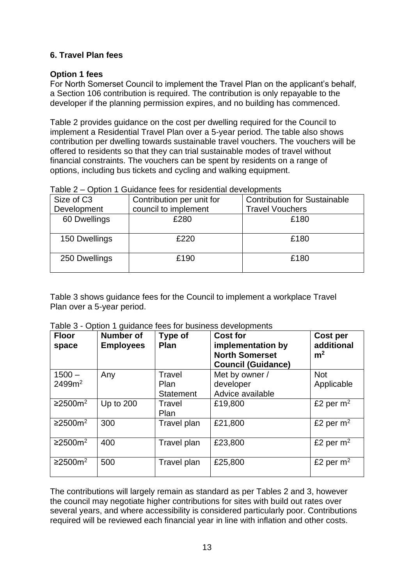## **6. Travel Plan fees**

#### **Option 1 fees**

For North Somerset Council to implement the Travel Plan on the applicant's behalf, a Section 106 contribution is required. The contribution is only repayable to the developer if the planning permission expires, and no building has commenced.

Table 2 provides guidance on the cost per dwelling required for the Council to implement a Residential Travel Plan over a 5-year period. The table also shows contribution per dwelling towards sustainable travel vouchers. The vouchers will be offered to residents so that they can trial sustainable modes of travel without financial constraints. The vouchers can be spent by residents on a range of options, including bus tickets and cycling and walking equipment.

| Size of C <sub>3</sub> | Contribution per unit for | <b>Contribution for Sustainable</b> |
|------------------------|---------------------------|-------------------------------------|
| Development            | council to implement      | <b>Travel Vouchers</b>              |
| 60 Dwellings           | £280                      | £180                                |
| 150 Dwellings          | £220                      | £180                                |
| 250 Dwellings          | £190                      | £180                                |

Table 2 – Option 1 Guidance fees for residential developments

Table 3 shows guidance fees for the Council to implement a workplace Travel Plan over a 5-year period.

| <b>Floor</b><br>space          | Number of<br><b>Employees</b> | Type of<br>Plan                    | <b>Cost for</b><br>implementation by<br><b>North Somerset</b><br><b>Council (Guidance)</b> | Cost per<br>additional<br>m <sup>2</sup> |
|--------------------------------|-------------------------------|------------------------------------|--------------------------------------------------------------------------------------------|------------------------------------------|
| $1500 -$<br>2499m <sup>2</sup> | Any                           | Travel<br>Plan<br><b>Statement</b> | Met by owner /<br>developer<br>Advice available                                            | <b>Not</b><br>Applicable                 |
| ≥2500m <sup>2</sup>            | Up to 200                     | Travel<br>Plan                     | £19,800                                                                                    | £2 per $m2$                              |
| ≥2500m <sup>2</sup>            | 300                           | Travel plan                        | £21,800                                                                                    | £2 per $m2$                              |
| ≥2500m <sup>2</sup>            | 400                           | Travel plan                        | £23,800                                                                                    | £2 per $m2$                              |
| ≥2500m <sup>2</sup>            | 500                           | Travel plan                        | £25,800                                                                                    | £2 per $m2$                              |

Table 3 - Option 1 guidance fees for business developments

The contributions will largely remain as standard as per Tables 2 and 3, however the council may negotiate higher contributions for sites with build out rates over several years, and where accessibility is considered particularly poor. Contributions required will be reviewed each financial year in line with inflation and other costs.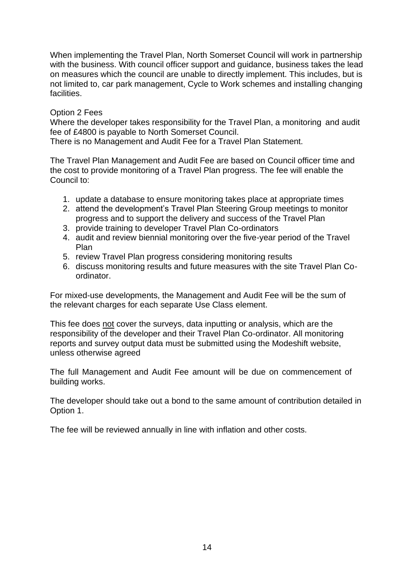When implementing the Travel Plan, North Somerset Council will work in partnership with the business. With council officer support and guidance, business takes the lead on measures which the council are unable to directly implement. This includes, but is not limited to, car park management, Cycle to Work schemes and installing changing facilities.

## Option 2 Fees

Where the developer takes responsibility for the Travel Plan, a monitoring and audit fee of £4800 is payable to North Somerset Council.

There is no Management and Audit Fee for a Travel Plan Statement.

The Travel Plan Management and Audit Fee are based on Council officer time and the cost to provide monitoring of a Travel Plan progress. The fee will enable the Council to:

- 1. update a database to ensure monitoring takes place at appropriate times
- 2. attend the development's Travel Plan Steering Group meetings to monitor progress and to support the delivery and success of the Travel Plan
- 3. provide training to developer Travel Plan Co-ordinators
- 4. audit and review biennial monitoring over the five-year period of the Travel Plan
- 5. review Travel Plan progress considering monitoring results
- 6. discuss monitoring results and future measures with the site Travel Plan Coordinator.

For mixed-use developments, the Management and Audit Fee will be the sum of the relevant charges for each separate Use Class element.

This fee does not cover the surveys, data inputting or analysis, which are the responsibility of the developer and their Travel Plan Co-ordinator. All monitoring reports and survey output data must be submitted using the Modeshift website, unless otherwise agreed

The full Management and Audit Fee amount will be due on commencement of building works.

The developer should take out a bond to the same amount of contribution detailed in Option 1.

The fee will be reviewed annually in line with inflation and other costs.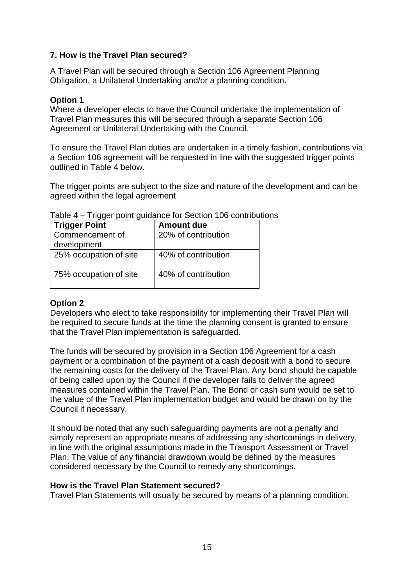## **7. How is the Travel Plan secured?**

A Travel Plan will be secured through a Section 106 Agreement Planning Obligation, a Unilateral Undertaking and/or a planning condition.

## **Option 1**

Where a developer elects to have the Council undertake the implementation of Travel Plan measures this will be secured through a separate Section 106 Agreement or Unilateral Undertaking with the Council.

To ensure the Travel Plan duties are undertaken in a timely fashion, contributions via a Section 106 agreement will be requested in line with the suggested trigger points outlined in Table 4 below.

The trigger points are subject to the size and nature of the development and can be agreed within the legal agreement

| <b>Trigger Point</b>   | <b>Amount due</b>   |
|------------------------|---------------------|
| Commencement of        | 20% of contribution |
| development            |                     |
| 25% occupation of site | 40% of contribution |
|                        |                     |
| 75% occupation of site | 40% of contribution |
|                        |                     |

Table 4 – Trigger point guidance for Section 106 contributions

## **Option 2**

Developers who elect to take responsibility for implementing their Travel Plan will be required to secure funds at the time the planning consent is granted to ensure that the Travel Plan implementation is safeguarded.

The funds will be secured by provision in a Section 106 Agreement for a cash payment or a combination of the payment of a cash deposit with a bond to secure the remaining costs for the delivery of the Travel Plan. Any bond should be capable of being called upon by the Council if the developer fails to deliver the agreed measures contained within the Travel Plan. The Bond or cash sum would be set to the value of the Travel Plan implementation budget and would be drawn on by the Council if necessary.

It should be noted that any such safeguarding payments are not a penalty and simply represent an appropriate means of addressing any shortcomings in delivery, in line with the original assumptions made in the Transport Assessment or Travel Plan. The value of any financial drawdown would be defined by the measures considered necessary by the Council to remedy any shortcomings.

## **How is the Travel Plan Statement secured?**

Travel Plan Statements will usually be secured by means of a planning condition.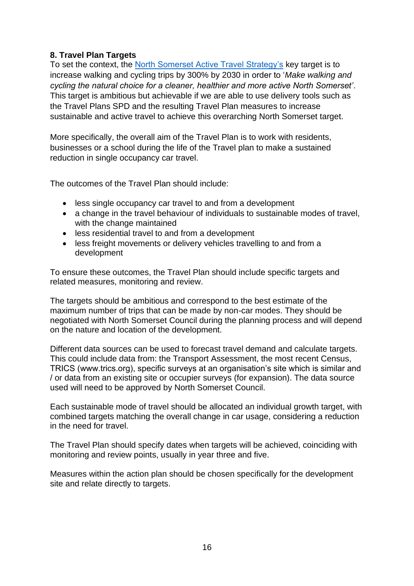# **8. Travel Plan Targets**

To set the context, the [North Somerset Active Travel Strategy's](https://www.n-somerset.gov.uk/my-services/parking-travel-roads/transport-travel/active-travel-fund/active-travel-strategy) key target is to increase walking and cycling trips by 300% by 2030 in order to '*Make walking and cycling the natural choice for a cleaner, healthier and more active North Somerset'*. This target is ambitious but achievable if we are able to use delivery tools such as the Travel Plans SPD and the resulting Travel Plan measures to increase sustainable and active travel to achieve this overarching North Somerset target.

More specifically, the overall aim of the Travel Plan is to work with residents, businesses or a school during the life of the Travel plan to make a sustained reduction in single occupancy car travel.

The outcomes of the Travel Plan should include:

- less single occupancy car travel to and from a development
- a change in the travel behaviour of individuals to sustainable modes of travel, with the change maintained
- less residential travel to and from a development
- less freight movements or delivery vehicles travelling to and from a development

To ensure these outcomes, the Travel Plan should include specific targets and related measures, monitoring and review.

The targets should be ambitious and correspond to the best estimate of the maximum number of trips that can be made by non-car modes. They should be negotiated with North Somerset Council during the planning process and will depend on the nature and location of the development.

Different data sources can be used to forecast travel demand and calculate targets. This could include data from: the Transport Assessment, the most recent Census, TRICS (www.trics.org), specific surveys at an organisation's site which is similar and / or data from an existing site or occupier surveys (for expansion). The data source used will need to be approved by North Somerset Council.

Each sustainable mode of travel should be allocated an individual growth target, with combined targets matching the overall change in car usage, considering a reduction in the need for travel.

The Travel Plan should specify dates when targets will be achieved, coinciding with monitoring and review points, usually in year three and five.

Measures within the action plan should be chosen specifically for the development site and relate directly to targets.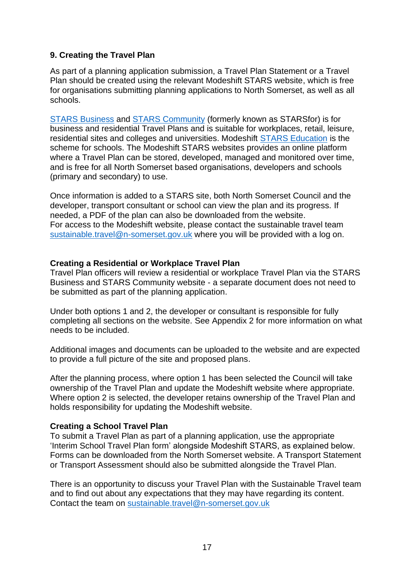## **9. Creating the Travel Plan**

As part of a planning application submission, a Travel Plan Statement or a Travel Plan should be created using the relevant Modeshift STARS website, which is free for organisations submitting planning applications to North Somerset, as well as all schools.

[STARS Business](https://www.modeshiftstars.org/business/) and [STARS Community](https://www.modeshiftstars.org/community/) (formerly known as STARSfor) is for business and residential Travel Plans and is suitable for workplaces, retail, leisure, residential sites and colleges and universities. Modeshift [STARS Education](file:///C:/Users/local_AEdbrooke/INetCache/Content.Outlook/RWTPHMZC/modeshiftstars.org/education) is the scheme for schools. The Modeshift STARS websites provides an online platform where a Travel Plan can be stored, developed, managed and monitored over time, and is free for all North Somerset based organisations, developers and schools (primary and secondary) to use.

Once information is added to a STARS site, both North Somerset Council and the developer, transport consultant or school can view the plan and its progress. If needed, a PDF of the plan can also be downloaded from the website. For access to the Modeshift website, please contact the sustainable travel team [sustainable.travel@n-somerset.gov.uk](mailto:sustainable.travel@n-somerset.gov.uk) where you will be provided with a log on.

#### **Creating a Residential or Workplace Travel Plan**

Travel Plan officers will review a residential or workplace Travel Plan via the STARS Business and STARS Community website - a separate document does not need to be submitted as part of the planning application.

Under both options 1 and 2, the developer or consultant is responsible for fully completing all sections on the website. See Appendix 2 for more information on what needs to be included.

Additional images and documents can be uploaded to the website and are expected to provide a full picture of the site and proposed plans.

After the planning process, where option 1 has been selected the Council will take ownership of the Travel Plan and update the Modeshift website where appropriate. Where option 2 is selected, the developer retains ownership of the Travel Plan and holds responsibility for updating the Modeshift website.

## **Creating a School Travel Plan**

To submit a Travel Plan as part of a planning application, use the appropriate 'Interim School Travel Plan form' alongside Modeshift STARS, as explained below. Forms can be downloaded from the North Somerset website. A Transport Statement or Transport Assessment should also be submitted alongside the Travel Plan.

There is an opportunity to discuss your Travel Plan with the Sustainable Travel team and to find out about any expectations that they may have regarding its content. Contact the team on [sustainable.travel@n-somerset.gov.uk](mailto:sustainable.travel@n-somerset.gov.uk)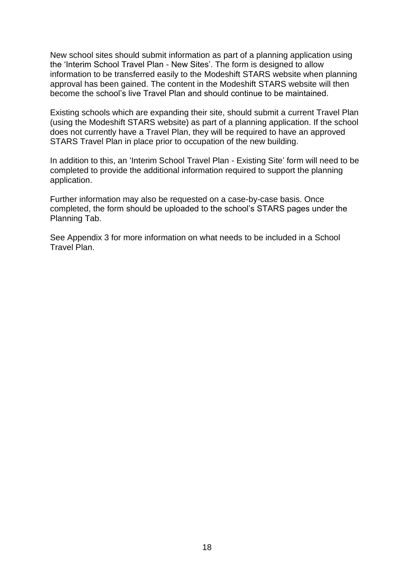New school sites should submit information as part of a planning application using the 'Interim School Travel Plan - New Sites'. The form is designed to allow information to be transferred easily to the Modeshift STARS website when planning approval has been gained. The content in the Modeshift STARS website will then become the school's live Travel Plan and should continue to be maintained.

Existing schools which are expanding their site, should submit a current Travel Plan (using the Modeshift STARS website) as part of a planning application. If the school does not currently have a Travel Plan, they will be required to have an approved STARS Travel Plan in place prior to occupation of the new building.

In addition to this, an 'Interim School Travel Plan - Existing Site' form will need to be completed to provide the additional information required to support the planning application.

Further information may also be requested on a case-by-case basis. Once completed, the form should be uploaded to the school's STARS pages under the Planning Tab.

See Appendix 3 for more information on what needs to be included in a School Travel Plan.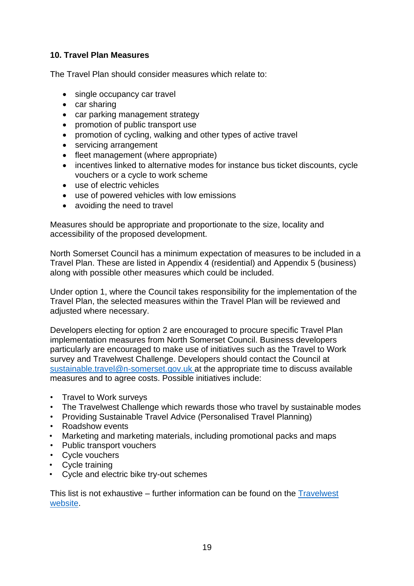# **10. Travel Plan Measures**

The Travel Plan should consider measures which relate to:

- single occupancy car travel
- car sharing
- car parking management strategy
- promotion of public transport use
- promotion of cycling, walking and other types of active travel
- servicing arrangement
- fleet management (where appropriate)
- incentives linked to alternative modes for instance bus ticket discounts, cycle vouchers or a cycle to work scheme
- use of electric vehicles
- use of powered vehicles with low emissions
- avoiding the need to travel

Measures should be appropriate and proportionate to the size, locality and accessibility of the proposed development.

North Somerset Council has a minimum expectation of measures to be included in a Travel Plan. These are listed in Appendix 4 (residential) and Appendix 5 (business) along with possible other measures which could be included.

Under option 1, where the Council takes responsibility for the implementation of the Travel Plan, the selected measures within the Travel Plan will be reviewed and adjusted where necessary.

Developers electing for option 2 are encouraged to procure specific Travel Plan implementation measures from North Somerset Council. Business developers particularly are encouraged to make use of initiatives such as the Travel to Work survey and Travelwest Challenge. Developers should contact the Council at [sustainable.travel@n-somerset.gov.uk a](mailto:sustainable.travel@n-somerset.gov.uk)t the appropriate time to discuss available measures and to agree costs. Possible initiatives include:

- Travel to Work surveys
- The Travelwest Challenge which rewards those who travel by sustainable modes
- Providing Sustainable Travel Advice (Personalised Travel Planning)
- Roadshow events
- Marketing and marketing materials, including promotional packs and maps
- Public transport vouchers
- Cycle vouchers
- Cycle training
- Cycle and electric bike try-out schemes

This list is not exhaustive – further information can be found on the [Travelwest](http://www.travelwest.info/)  [website.](http://www.travelwest.info/)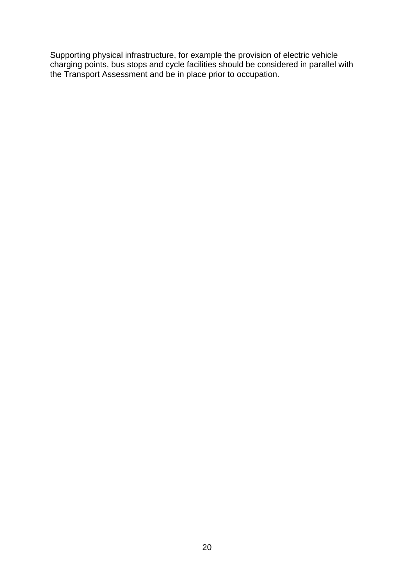Supporting physical infrastructure, for example the provision of electric vehicle charging points, bus stops and cycle facilities should be considered in parallel with the Transport Assessment and be in place prior to occupation.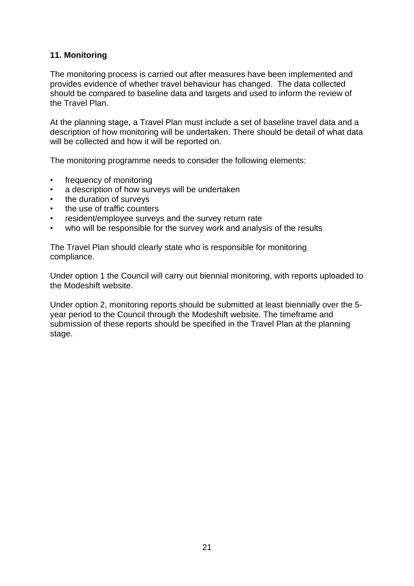# **11. Monitoring**

The monitoring process is carried out after measures have been implemented and provides evidence of whether travel behaviour has changed. The data collected should be compared to baseline data and targets and used to inform the review of the Travel Plan.

At the planning stage, a Travel Plan must include a set of baseline travel data and a description of how monitoring will be undertaken. There should be detail of what data will be collected and how it will be reported on.

The monitoring programme needs to consider the following elements:

- frequency of monitoring
- a description of how surveys will be undertaken
- the duration of surveys
- the use of traffic counters
- resident/employee surveys and the survey return rate
- who will be responsible for the survey work and analysis of the results

The Travel Plan should clearly state who is responsible for monitoring compliance.

Under option 1 the Council will carry out biennial monitoring, with reports uploaded to the Modeshift website.

Under option 2, monitoring reports should be submitted at least biennially over the 5 year period to the Council through the Modeshift website. The timeframe and submission of these reports should be specified in the Travel Plan at the planning stage.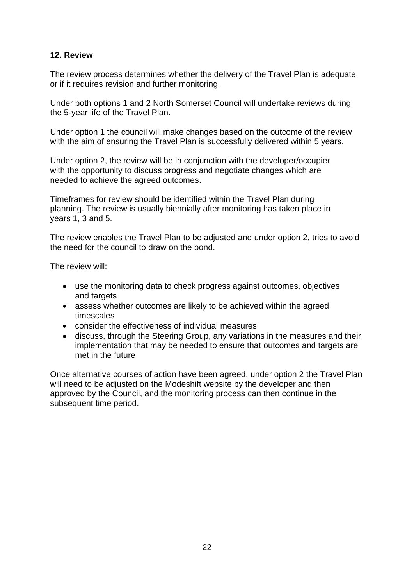## **12. Review**

The review process determines whether the delivery of the Travel Plan is adequate, or if it requires revision and further monitoring.

Under both options 1 and 2 North Somerset Council will undertake reviews during the 5-year life of the Travel Plan.

Under option 1 the council will make changes based on the outcome of the review with the aim of ensuring the Travel Plan is successfully delivered within 5 years.

Under option 2, the review will be in conjunction with the developer/occupier with the opportunity to discuss progress and negotiate changes which are needed to achieve the agreed outcomes.

Timeframes for review should be identified within the Travel Plan during planning. The review is usually biennially after monitoring has taken place in years 1, 3 and 5.

The review enables the Travel Plan to be adjusted and under option 2, tries to avoid the need for the council to draw on the bond.

The review will:

- use the monitoring data to check progress against outcomes, objectives and targets
- assess whether outcomes are likely to be achieved within the agreed timescales
- consider the effectiveness of individual measures
- discuss, through the Steering Group, any variations in the measures and their implementation that may be needed to ensure that outcomes and targets are met in the future

Once alternative courses of action have been agreed, under option 2 the Travel Plan will need to be adjusted on the Modeshift website by the developer and then approved by the Council, and the monitoring process can then continue in the subsequent time period.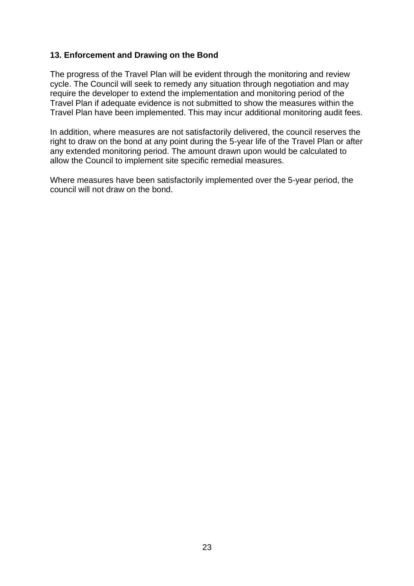## **13. Enforcement and Drawing on the Bond**

The progress of the Travel Plan will be evident through the monitoring and review cycle. The Council will seek to remedy any situation through negotiation and may require the developer to extend the implementation and monitoring period of the Travel Plan if adequate evidence is not submitted to show the measures within the Travel Plan have been implemented. This may incur additional monitoring audit fees.

In addition, where measures are not satisfactorily delivered, the council reserves the right to draw on the bond at any point during the 5-year life of the Travel Plan or after any extended monitoring period. The amount drawn upon would be calculated to allow the Council to implement site specific remedial measures.

Where measures have been satisfactorily implemented over the 5-year period, the council will not draw on the bond.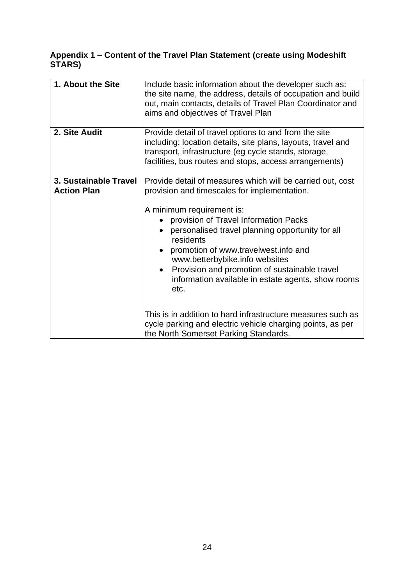# **Appendix 1 – Content of the Travel Plan Statement (create using Modeshift STARS)**

| 1. About the Site                           | Include basic information about the developer such as:<br>the site name, the address, details of occupation and build<br>out, main contacts, details of Travel Plan Coordinator and<br>aims and objectives of Travel Plan                                                                                                                                                                                                                                                                                                                                                                                        |
|---------------------------------------------|------------------------------------------------------------------------------------------------------------------------------------------------------------------------------------------------------------------------------------------------------------------------------------------------------------------------------------------------------------------------------------------------------------------------------------------------------------------------------------------------------------------------------------------------------------------------------------------------------------------|
| 2. Site Audit                               | Provide detail of travel options to and from the site<br>including: location details, site plans, layouts, travel and<br>transport, infrastructure (eg cycle stands, storage,<br>facilities, bus routes and stops, access arrangements)                                                                                                                                                                                                                                                                                                                                                                          |
| 3. Sustainable Travel<br><b>Action Plan</b> | Provide detail of measures which will be carried out, cost<br>provision and timescales for implementation.<br>A minimum requirement is:<br>provision of Travel Information Packs<br>personalised travel planning opportunity for all<br>residents<br>promotion of www.travelwest.info and<br>www.betterbybike.info websites<br>Provision and promotion of sustainable travel<br>information available in estate agents, show rooms<br>etc.<br>This is in addition to hard infrastructure measures such as<br>cycle parking and electric vehicle charging points, as per<br>the North Somerset Parking Standards. |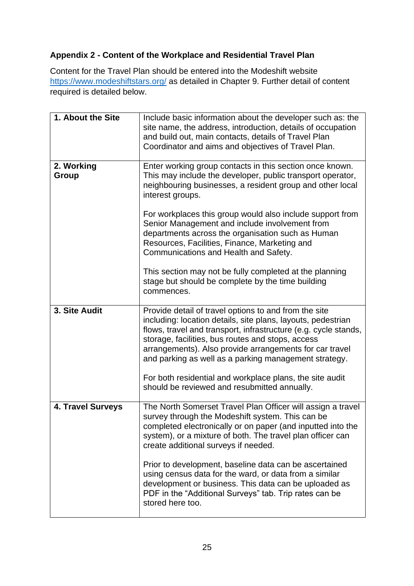# **Appendix 2 - Content of the Workplace and Residential Travel Plan**

Content for the Travel Plan should be entered into the Modeshift website <https://www.modeshiftstars.org/> as detailed in Chapter 9. Further detail of content required is detailed below.

| 1. About the Site   | Include basic information about the developer such as: the<br>site name, the address, introduction, details of occupation<br>and build out, main contacts, details of Travel Plan<br>Coordinator and aims and objectives of Travel Plan.                                                                                                                          |
|---------------------|-------------------------------------------------------------------------------------------------------------------------------------------------------------------------------------------------------------------------------------------------------------------------------------------------------------------------------------------------------------------|
| 2. Working<br>Group | Enter working group contacts in this section once known.<br>This may include the developer, public transport operator,<br>neighbouring businesses, a resident group and other local<br>interest groups.                                                                                                                                                           |
|                     | For workplaces this group would also include support from<br>Senior Management and include involvement from<br>departments across the organisation such as Human<br>Resources, Facilities, Finance, Marketing and<br>Communications and Health and Safety.                                                                                                        |
|                     | This section may not be fully completed at the planning<br>stage but should be complete by the time building<br>commences.                                                                                                                                                                                                                                        |
| 3. Site Audit       | Provide detail of travel options to and from the site<br>including: location details, site plans, layouts, pedestrian<br>flows, travel and transport, infrastructure (e.g. cycle stands,<br>storage, facilities, bus routes and stops, access<br>arrangements). Also provide arrangements for car travel<br>and parking as well as a parking management strategy. |
|                     | For both residential and workplace plans, the site audit<br>should be reviewed and resubmitted annually.                                                                                                                                                                                                                                                          |
| 4. Travel Surveys   | The North Somerset Travel Plan Officer will assign a travel<br>survey through the Modeshift system. This can be<br>completed electronically or on paper (and inputted into the<br>system), or a mixture of both. The travel plan officer can<br>create additional surveys if needed.                                                                              |
|                     | Prior to development, baseline data can be ascertained<br>using census data for the ward, or data from a similar<br>development or business. This data can be uploaded as<br>PDF in the "Additional Surveys" tab. Trip rates can be<br>stored here too.                                                                                                           |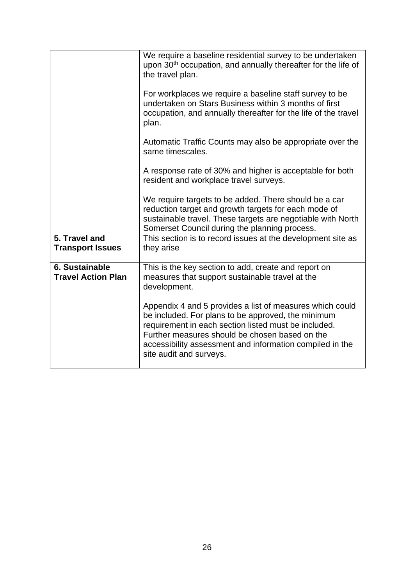|                                             | We require a baseline residential survey to be undertaken<br>upon 30 <sup>th</sup> occupation, and annually thereafter for the life of<br>the travel plan.                                                                                                                                                      |
|---------------------------------------------|-----------------------------------------------------------------------------------------------------------------------------------------------------------------------------------------------------------------------------------------------------------------------------------------------------------------|
|                                             | For workplaces we require a baseline staff survey to be<br>undertaken on Stars Business within 3 months of first<br>occupation, and annually thereafter for the life of the travel<br>plan.                                                                                                                     |
|                                             | Automatic Traffic Counts may also be appropriate over the<br>same timescales.                                                                                                                                                                                                                                   |
|                                             | A response rate of 30% and higher is acceptable for both<br>resident and workplace travel surveys.                                                                                                                                                                                                              |
|                                             | We require targets to be added. There should be a car<br>reduction target and growth targets for each mode of<br>sustainable travel. These targets are negotiable with North<br>Somerset Council during the planning process.                                                                                   |
| 5. Travel and<br><b>Transport Issues</b>    | This section is to record issues at the development site as<br>they arise                                                                                                                                                                                                                                       |
| 6. Sustainable<br><b>Travel Action Plan</b> | This is the key section to add, create and report on<br>measures that support sustainable travel at the<br>development.                                                                                                                                                                                         |
|                                             | Appendix 4 and 5 provides a list of measures which could<br>be included. For plans to be approved, the minimum<br>requirement in each section listed must be included.<br>Further measures should be chosen based on the<br>accessibility assessment and information compiled in the<br>site audit and surveys. |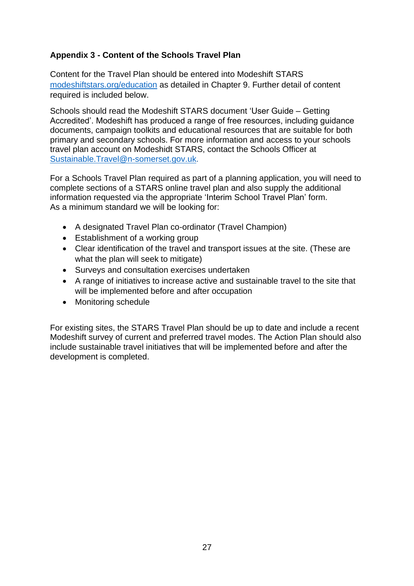# **Appendix 3 - Content of the Schools Travel Plan**

Content for the Travel Plan should be entered into Modeshift STARS [modeshiftstars.org/education](https://www.modeshiftstars.org/education/) as detailed in Chapter 9. Further detail of content required is included below.

Schools should read the Modeshift STARS document 'User Guide – Getting Accredited'. Modeshift has produced a range of free resources, including guidance documents, campaign toolkits and educational resources that are suitable for both primary and secondary schools. For more information and access to your schools travel plan account on Modeshidt STARS, contact the Schools Officer at [Sustainable.Travel@n-somerset.gov.uk.](mailto:Sustainable.Travel@n-somerset.gov.uk)

For a Schools Travel Plan required as part of a planning application, you will need to complete sections of a STARS online travel plan and also supply the additional information requested via the appropriate 'Interim School Travel Plan' form. As a minimum standard we will be looking for:

- A designated Travel Plan co-ordinator (Travel Champion)
- Establishment of a working group
- Clear identification of the travel and transport issues at the site. (These are what the plan will seek to mitigate)
- Surveys and consultation exercises undertaken
- A range of initiatives to increase active and sustainable travel to the site that will be implemented before and after occupation
- Monitoring schedule

For existing sites, the STARS Travel Plan should be up to date and include a recent Modeshift survey of current and preferred travel modes. The Action Plan should also include sustainable travel initiatives that will be implemented before and after the development is completed.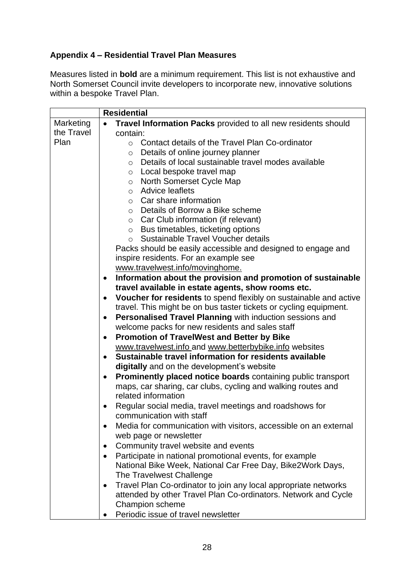# **Appendix 4 – Residential Travel Plan Measures**

Measures listed in **bold** are a minimum requirement. This list is not exhaustive and North Somerset Council invite developers to incorporate new, innovative solutions within a bespoke Travel Plan.

|            | <b>Residential</b>                                                             |  |  |
|------------|--------------------------------------------------------------------------------|--|--|
| Marketing  | Travel Information Packs provided to all new residents should                  |  |  |
| the Travel | contain:                                                                       |  |  |
| Plan       | Contact details of the Travel Plan Co-ordinator<br>$\circ$                     |  |  |
|            | Details of online journey planner<br>$\circ$                                   |  |  |
|            | Details of local sustainable travel modes available<br>$\circ$                 |  |  |
|            | Local bespoke travel map<br>$\circ$                                            |  |  |
|            | North Somerset Cycle Map<br>$\circ$                                            |  |  |
|            | <b>Advice leaflets</b><br>$\circ$                                              |  |  |
|            | Car share information<br>$\circ$                                               |  |  |
|            | ○ Details of Borrow a Bike scheme                                              |  |  |
|            | Car Club information (if relevant)<br>$\circ$                                  |  |  |
|            | Bus timetables, ticketing options<br>$\circ$                                   |  |  |
|            | Sustainable Travel Voucher details<br>$\circ$                                  |  |  |
|            | Packs should be easily accessible and designed to engage and                   |  |  |
|            | inspire residents. For an example see                                          |  |  |
|            | www.travelwest.info/movinghome.                                                |  |  |
|            | Information about the provision and promotion of sustainable<br>٠              |  |  |
|            | travel available in estate agents, show rooms etc.                             |  |  |
|            | Voucher for residents to spend flexibly on sustainable and active<br>$\bullet$ |  |  |
|            | travel. This might be on bus taster tickets or cycling equipment.              |  |  |
|            | Personalised Travel Planning with induction sessions and<br>٠                  |  |  |
|            | welcome packs for new residents and sales staff                                |  |  |
|            | <b>Promotion of TravelWest and Better by Bike</b>                              |  |  |
|            | www.travelwest.info and www.betterbybike.info websites                         |  |  |
|            | Sustainable travel information for residents available<br>$\bullet$            |  |  |
|            | digitally and on the development's website                                     |  |  |
|            | Prominently placed notice boards containing public transport<br>٠              |  |  |
|            | maps, car sharing, car clubs, cycling and walking routes and                   |  |  |
|            | related information                                                            |  |  |
|            | Regular social media, travel meetings and roadshows for<br>$\bullet$           |  |  |
|            | communication with staff                                                       |  |  |
|            | Media for communication with visitors, accessible on an external               |  |  |
|            | web page or newsletter                                                         |  |  |
|            | Community travel website and events                                            |  |  |
|            | Participate in national promotional events, for example<br>$\bullet$           |  |  |
|            | National Bike Week, National Car Free Day, Bike2Work Days,                     |  |  |
|            | The Travelwest Challenge                                                       |  |  |
|            | Travel Plan Co-ordinator to join any local appropriate networks<br>٠           |  |  |
|            | attended by other Travel Plan Co-ordinators. Network and Cycle                 |  |  |
|            | Champion scheme                                                                |  |  |
|            | Periodic issue of travel newsletter                                            |  |  |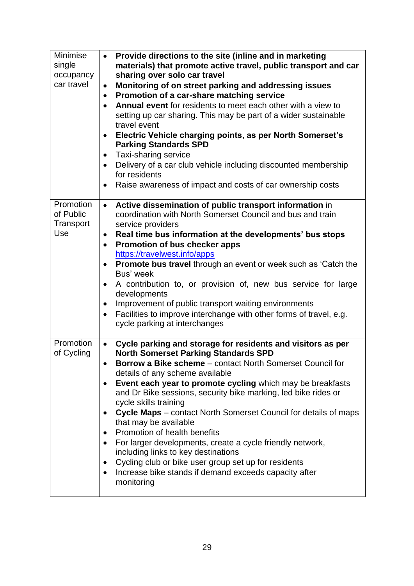| Minimise<br>single<br>occupancy<br>car travel | Provide directions to the site (inline and in marketing<br>$\bullet$<br>materials) that promote active travel, public transport and car<br>sharing over solo car travel<br>Monitoring of on street parking and addressing issues<br>$\bullet$<br>Promotion of a car-share matching service<br>$\bullet$<br>Annual event for residents to meet each other with a view to<br>$\bullet$<br>setting up car sharing. This may be part of a wider sustainable<br>travel event<br>Electric Vehicle charging points, as per North Somerset's<br><b>Parking Standards SPD</b><br>Taxi-sharing service<br>$\bullet$<br>Delivery of a car club vehicle including discounted membership<br>for residents<br>Raise awareness of impact and costs of car ownership costs<br>$\bullet$       |
|-----------------------------------------------|-------------------------------------------------------------------------------------------------------------------------------------------------------------------------------------------------------------------------------------------------------------------------------------------------------------------------------------------------------------------------------------------------------------------------------------------------------------------------------------------------------------------------------------------------------------------------------------------------------------------------------------------------------------------------------------------------------------------------------------------------------------------------------|
| Promotion<br>of Public<br>Transport<br>Use    | Active dissemination of public transport information in<br>$\bullet$<br>coordination with North Somerset Council and bus and train<br>service providers<br>Real time bus information at the developments' bus stops<br>$\bullet$<br>Promotion of bus checker apps<br>$\bullet$<br>https://travelwest.info/apps<br>Promote bus travel through an event or week such as 'Catch the<br>Bus' week<br>A contribution to, or provision of, new bus service for large<br>$\bullet$<br>developments<br>Improvement of public transport waiting environments<br>$\bullet$<br>Facilities to improve interchange with other forms of travel, e.g.<br>$\bullet$<br>cycle parking at interchanges                                                                                          |
| Promotion<br>of Cycling                       | Cycle parking and storage for residents and visitors as per<br>$\bullet$<br><b>North Somerset Parking Standards SPD</b><br><b>Borrow a Bike scheme</b> – contact North Somerset Council for<br>details of any scheme available<br>Event each year to promote cycling which may be breakfasts<br>and Dr Bike sessions, security bike marking, led bike rides or<br>cycle skills training<br>Cycle Maps - contact North Somerset Council for details of maps<br>that may be available<br>Promotion of health benefits<br>For larger developments, create a cycle friendly network,<br>$\bullet$<br>including links to key destinations<br>Cycling club or bike user group set up for residents<br>٠<br>Increase bike stands if demand exceeds capacity after<br>٠<br>monitoring |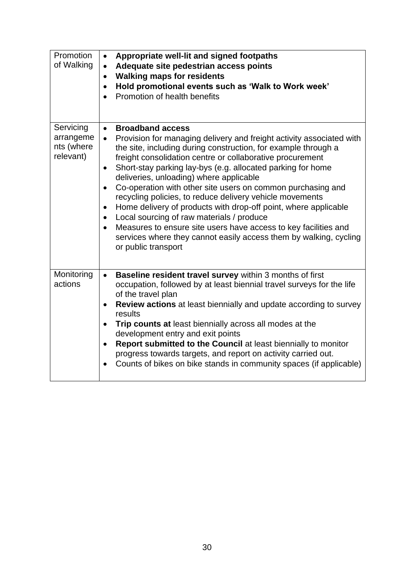| Promotion<br>of Walking                           | Appropriate well-lit and signed footpaths<br>$\bullet$<br>Adequate site pedestrian access points<br>$\bullet$<br><b>Walking maps for residents</b><br>$\bullet$<br>Hold promotional events such as 'Walk to Work week'<br>$\bullet$<br>Promotion of health benefits                                                                                                                                                                                                                                                                                                                                                                                                                                                                                                                                                              |
|---------------------------------------------------|----------------------------------------------------------------------------------------------------------------------------------------------------------------------------------------------------------------------------------------------------------------------------------------------------------------------------------------------------------------------------------------------------------------------------------------------------------------------------------------------------------------------------------------------------------------------------------------------------------------------------------------------------------------------------------------------------------------------------------------------------------------------------------------------------------------------------------|
| Servicing<br>arrangeme<br>nts (where<br>relevant) | <b>Broadband access</b><br>$\bullet$<br>Provision for managing delivery and freight activity associated with<br>$\bullet$<br>the site, including during construction, for example through a<br>freight consolidation centre or collaborative procurement<br>Short-stay parking lay-bys (e.g. allocated parking for home<br>$\bullet$<br>deliveries, unloading) where applicable<br>Co-operation with other site users on common purchasing and<br>$\bullet$<br>recycling policies, to reduce delivery vehicle movements<br>Home delivery of products with drop-off point, where applicable<br>$\bullet$<br>Local sourcing of raw materials / produce<br>Measures to ensure site users have access to key facilities and<br>$\bullet$<br>services where they cannot easily access them by walking, cycling<br>or public transport |
| Monitoring<br>actions                             | Baseline resident travel survey within 3 months of first<br>$\bullet$<br>occupation, followed by at least biennial travel surveys for the life<br>of the travel plan<br><b>Review actions</b> at least biennially and update according to survey<br>$\bullet$<br>results<br>Trip counts at least biennially across all modes at the<br>development entry and exit points<br>Report submitted to the Council at least biennially to monitor<br>$\bullet$<br>progress towards targets, and report on activity carried out.<br>Counts of bikes on bike stands in community spaces (if applicable)                                                                                                                                                                                                                                   |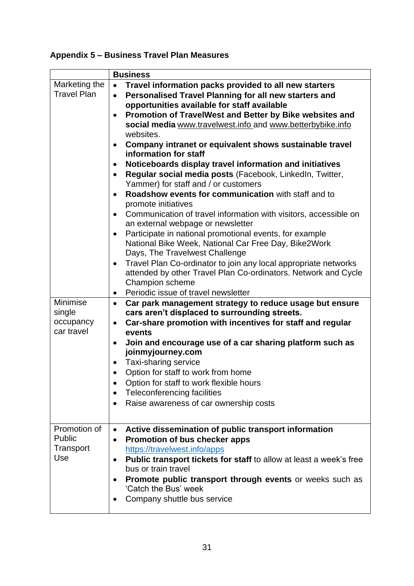# **Appendix 5 – Business Travel Plan Measures**

|                    | <b>Business</b>                                                                             |
|--------------------|---------------------------------------------------------------------------------------------|
| Marketing the      | Travel information packs provided to all new starters<br>$\bullet$                          |
| <b>Travel Plan</b> | Personalised Travel Planning for all new starters and<br>$\bullet$                          |
|                    | opportunities available for staff available                                                 |
|                    | Promotion of TravelWest and Better by Bike websites and<br>٠                                |
|                    | social media www.travelwest.info and www.betterbybike.info                                  |
|                    | websites.                                                                                   |
|                    | Company intranet or equivalent shows sustainable travel<br>$\bullet$                        |
|                    | information for staff                                                                       |
|                    | Noticeboards display travel information and initiatives<br>٠                                |
|                    | Regular social media posts (Facebook, LinkedIn, Twitter,                                    |
|                    | Yammer) for staff and / or customers<br>Roadshow events for communication with staff and to |
|                    | ٠<br>promote initiatives                                                                    |
|                    | Communication of travel information with visitors, accessible on<br>$\bullet$               |
|                    | an external webpage or newsletter                                                           |
|                    | Participate in national promotional events, for example<br>$\bullet$                        |
|                    | National Bike Week, National Car Free Day, Bike2Work                                        |
|                    | Days, The Travelwest Challenge                                                              |
|                    | Travel Plan Co-ordinator to join any local appropriate networks<br>$\bullet$                |
|                    | attended by other Travel Plan Co-ordinators. Network and Cycle                              |
|                    | Champion scheme                                                                             |
|                    | Periodic issue of travel newsletter<br>$\bullet$                                            |
| Minimise           | Car park management strategy to reduce usage but ensure<br>$\bullet$                        |
| single             | cars aren't displaced to surrounding streets.                                               |
| occupancy          | Car-share promotion with incentives for staff and regular<br>$\bullet$                      |
| car travel         | events                                                                                      |
|                    | Join and encourage use of a car sharing platform such as<br>$\bullet$                       |
|                    | joinmyjourney.com                                                                           |
|                    | Taxi-sharing service<br>٠                                                                   |
|                    | Option for staff to work from home<br>$\bullet$                                             |
|                    | Option for staff to work flexible hours                                                     |
|                    | Teleconferencing facilities<br>٠                                                            |
|                    | Raise awareness of car ownership costs                                                      |
|                    |                                                                                             |
| Promotion of       | Active dissemination of public transport information<br>$\bullet$                           |
| Public             | Promotion of bus checker apps<br>٠                                                          |
| Transport          | https://travelwest.info/apps                                                                |
| Use                | Public transport tickets for staff to allow at least a week's free<br>٠                     |
|                    | bus or train travel                                                                         |
|                    | <b>Promote public transport through events or weeks such as</b>                             |
|                    | 'Catch the Bus' week                                                                        |
|                    | Company shuttle bus service                                                                 |
|                    |                                                                                             |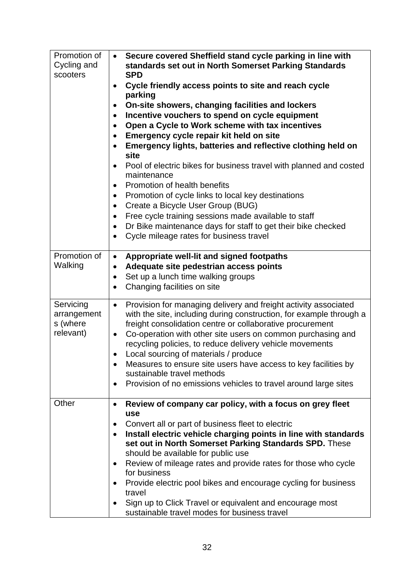| Promotion of<br>Cycling and<br>scooters           | Secure covered Sheffield stand cycle parking in line with<br>$\bullet$<br>standards set out in North Somerset Parking Standards<br><b>SPD</b><br>Cycle friendly access points to site and reach cycle<br>٠<br>parking<br>On-site showers, changing facilities and lockers<br>Incentive vouchers to spend on cycle equipment<br>$\bullet$<br>Open a Cycle to Work scheme with tax incentives<br>Emergency cycle repair kit held on site<br>$\bullet$<br>Emergency lights, batteries and reflective clothing held on<br>site<br>Pool of electric bikes for business travel with planned and costed<br>$\bullet$<br>maintenance<br>Promotion of health benefits<br>$\bullet$<br>Promotion of cycle links to local key destinations<br>Create a Bicycle User Group (BUG)<br>$\bullet$<br>Free cycle training sessions made available to staff<br>$\bullet$<br>Dr Bike maintenance days for staff to get their bike checked<br>$\bullet$<br>Cycle mileage rates for business travel<br>$\bullet$ |
|---------------------------------------------------|---------------------------------------------------------------------------------------------------------------------------------------------------------------------------------------------------------------------------------------------------------------------------------------------------------------------------------------------------------------------------------------------------------------------------------------------------------------------------------------------------------------------------------------------------------------------------------------------------------------------------------------------------------------------------------------------------------------------------------------------------------------------------------------------------------------------------------------------------------------------------------------------------------------------------------------------------------------------------------------------|
| Promotion of<br>Walking                           | Appropriate well-lit and signed footpaths<br>$\bullet$<br>Adequate site pedestrian access points<br>$\bullet$<br>Set up a lunch time walking groups<br>$\bullet$<br>Changing facilities on site<br>$\bullet$                                                                                                                                                                                                                                                                                                                                                                                                                                                                                                                                                                                                                                                                                                                                                                                |
| Servicing<br>arrangement<br>s (where<br>relevant) | Provision for managing delivery and freight activity associated<br>$\bullet$<br>with the site, including during construction, for example through a<br>freight consolidation centre or collaborative procurement<br>Co-operation with other site users on common purchasing and<br>$\bullet$<br>recycling policies, to reduce delivery vehicle movements<br>Local sourcing of materials / produce<br>٠<br>Measures to ensure site users have access to key facilities by<br>$\bullet$<br>sustainable travel methods<br>Provision of no emissions vehicles to travel around large sites<br>$\bullet$                                                                                                                                                                                                                                                                                                                                                                                         |
| Other                                             | Review of company car policy, with a focus on grey fleet<br>٠<br>use<br>Convert all or part of business fleet to electric<br>٠<br>Install electric vehicle charging points in line with standards<br>set out in North Somerset Parking Standards SPD. These<br>should be available for public use<br>Review of mileage rates and provide rates for those who cycle<br>for business<br>Provide electric pool bikes and encourage cycling for business<br>travel<br>Sign up to Click Travel or equivalent and encourage most<br>٠<br>sustainable travel modes for business travel                                                                                                                                                                                                                                                                                                                                                                                                             |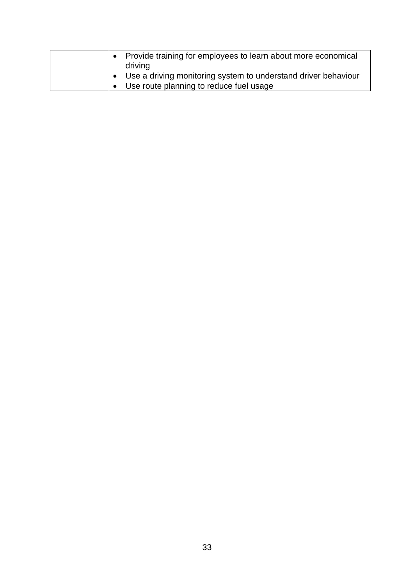| • Provide training for employees to learn about more economical  |
|------------------------------------------------------------------|
| driving                                                          |
| • Use a driving monitoring system to understand driver behaviour |
| Use route planning to reduce fuel usage                          |